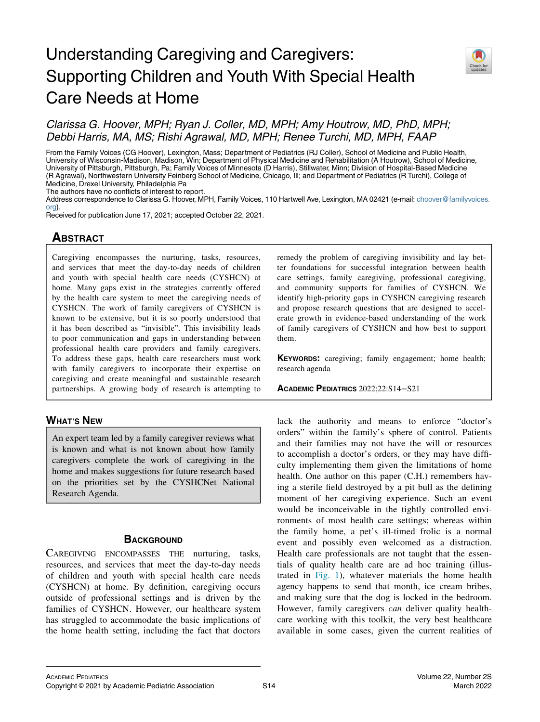# Understanding Caregiving and Caregivers: Supporting Children and Youth With Special Health Care Needs at Home



## Clarissa G. Hoover, MPH; Ryan J. Coller, MD, MPH; Amy Houtrow, MD, PhD, MPH; Debbi Harris, MA, MS; Rishi Agrawal, MD, MPH; Renee Turchi, MD, MPH, FAAP

From the Family Voices (CG Hoover), Lexington, Mass; Department of Pediatrics (RJ Coller), School of Medicine and Public Health, University of Wisconsin-Madison, Madison, Win; Department of Physical Medicine and Rehabilitation (A Houtrow), School of Medicine, University of Pittsburgh, Pittsburgh, Pa; Family Voices of Minnesota (D Harris), Stillwater, Minn; Division of Hospital-Based Medicine (R Agrawal), Northwestern University Feinberg School of Medicine, Chicago, Ill; and Department of Pediatrics (R Turchi), College of Medicine, Drexel University, Philadelphia Pa

The authors have no conflicts of interest to report.

Address correspondence to Clarissa G. Hoover, MPH, Family Voices, 110 Hartwell Ave, Lexington, MA 02421 (e-mail: [choover@familyvoices.](mailto:choover@familyvoices.org) [org](mailto:choover@familyvoices.org)).

Received for publication June 17, 2021; accepted October 22, 2021.

### **ABSTRACT** <u>ABSOLUTE</u>

Caregiving encompasses the nurturing, tasks, resources, and services that meet the day-to-day needs of children and youth with special health care needs (CYSHCN) at home. Many gaps exist in the strategies currently offered by the health care system to meet the caregiving needs of CYSHCN. The work of family caregivers of CYSHCN is known to be extensive, but it is so poorly understood that it has been described as "invisible". This invisibility leads to poor communication and gaps in understanding between professional health care providers and family caregivers. To address these gaps, health care researchers must work with family caregivers to incorporate their expertise on caregiving and create meaningful and sustainable research partnerships. A growing body of research is attempting to

### **WHAT'S NEW** <u>What's new</u>

An expert team led by a family caregiver reviews what is known and what is not known about how family caregivers complete the work of caregiving in the home and makes suggestions for future research based on the priorities set by the CYSHCNet National Research Agenda.

CAREGIVING ENCOMPASSES THE nurturing, tasks, resources, and services that meet the day-to-day needs of children and youth with special health care needs (CYSHCN) at home. By definition, caregiving occurs outside of professional settings and is driven by the families of CYSHCN. However, our healthcare system has struggled to accommodate the basic implications of the home health setting, including the fact that doctors

remedy the problem of caregiving invisibility and lay better foundations for successful integration between health care settings, family caregiving, professional caregiving, and community supports for families of CYSHCN. We identify high-priority gaps in CYSHCN caregiving research and propose research questions that are designed to accelerate growth in evidence-based understanding of the work of family caregivers of CYSHCN and how best to support them.

KEYWORDS: caregiving; family engagement; home health; research agenda

ACADEMIC PEDIATRICS 2022;22:S14−S21

lack the authority and means to enforce "doctor's orders" within the family's sphere of control. Patients and their families may not have the will or resources to accomplish a doctor's orders, or they may have difficulty implementing them given the limitations of home health. One author on this paper (C.H.) remembers having a sterile field destroyed by a pit bull as the defining moment of her caregiving experience. Such an event would be inconceivable in the tightly controlled environments of most health care settings; whereas within the family home, a pet's ill-timed frolic is a normal event and possibly even welcomed as a distraction. Health care professionals are not taught that the essentials of quality health care are ad hoc training (illustrated in [Fig. 1\)](#page-1-0), whatever materials the home health agency happens to send that month, ice cream bribes, and making sure that the dog is locked in the bedroom. However, family caregivers can deliver quality healthcare working with this toolkit, the very best healthcare available in some cases, given the current realities of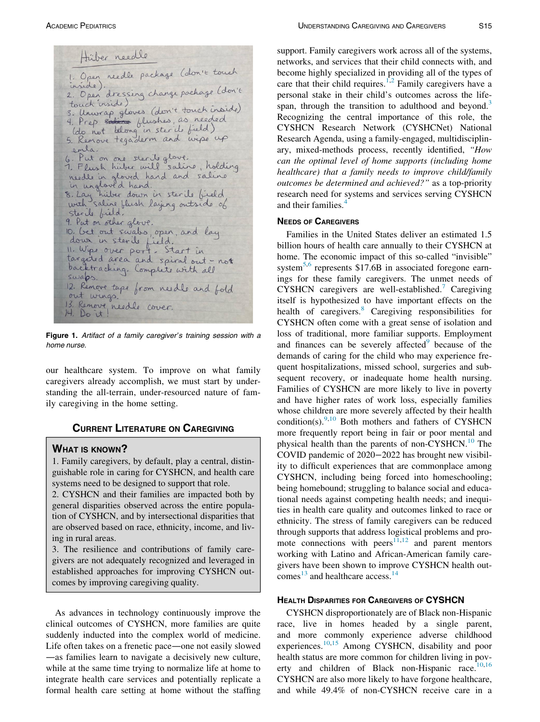<span id="page-1-0"></span>Hüber needle 1. Open reedle package (alon.1e touch<br>inside).<br>2. Open dressing change pockage (don.1e touch inside) touch inside)<br>3. Unwrap gloves (don't touch inside)<br>4. Prep solion flushes, as needed<br>(do not belong in steril field)<br>5. Remove tegaderm and wipe up emla. 6. Put on one sterile glove.<br>7. Flush hüber will saline, holding<br>needle in gloved hand and saline 8. Lay hitter down in sterile bield<br>8. Lay hitter down in sterile bield Sterile bield. 9. Put on other glove. 10, bet out swabs, open, and lay down in sterile field.<br>11. Wipe over port. Start in<br>targeted area and spiral out-not backtracking. Complete with all swaps. 12. Remove tape from needle and fold out wings. 13. Remove needle cover.

Figure 1. Artifact of a family caregiver's training session with a home nurse.

our healthcare system. To improve on what family caregivers already accomplish, we must start by understanding the all-terrain, under-resourced nature of family caregiving in the home setting.

## Current Literature on Caregiving and Caregiving and Caregiving and Caregiving and

1. Family caregivers, by default, play a central, distinguishable role in caring for CYSHCN, and health care systems need to be designed to support that role.

2. CYSHCN and their families are impacted both by general disparities observed across the entire population of CYSHCN, and by intersectional disparities that are observed based on race, ethnicity, income, and living in rural areas.

3. The resilience and contributions of family caregivers are not adequately recognized and leveraged in established approaches for improving CYSHCN outcomes by improving caregiving quality.

As advances in technology continuously improve the clinical outcomes of CYSHCN, more families are quite suddenly inducted into the complex world of medicine. Life often takes on a frenetic pace—one not easily slowed —as families learn to navigate a decisively new culture, while at the same time trying to normalize life at home to integrate health care services and potentially replicate a formal health care setting at home without the staffing support. Family caregivers work across all of the systems, networks, and services that their child connects with, and become highly specialized in providing all of the types of care that their child requires.<sup>[1,](#page-5-0)[2](#page-5-1)</sup> Family caregivers have a personal stake in their child's outcomes across the life-span, through the transition to adulthood and beyond.<sup>[3](#page-5-2)</sup> Recognizing the central importance of this role, the CYSHCN Research Network (CYSHCNet) National Research Agenda, using a family-engaged, multidisciplinary, mixed-methods process, recently identified, "How can the optimal level of home supports (including home healthcare) that a family needs to improve child/family outcomes be determined and achieved?" as a top-priority research need for systems and services serving CYSHCN and their families.<sup>[4](#page-6-0)</sup>

Families in the United States deliver an estimated 1.5 billion hours of health care annually to their CYSHCN at home. The economic impact of this so-called "invisible" system<sup>[5,](#page-6-1)[6](#page-6-2)</sup> represents  $$17.6B$  in associated foregone earnings for these family caregivers. The unmet needs of CYSHCN caregivers are well-established.<sup>[7](#page-6-3)</sup> Caregiving itself is hypothesized to have important effects on the health of caregivers.<sup>[8](#page-6-4)</sup> Caregiving responsibilities for CYSHCN often come with a great sense of isolation and loss of traditional, more familiar supports. Employment and finances can be severely affected<sup>[9](#page-6-5)</sup> because of the demands of caring for the child who may experience frequent hospitalizations, missed school, surgeries and subsequent recovery, or inadequate home health nursing. Families of CYSHCN are more likely to live in poverty and have higher rates of work loss, especially families whose children are more severely affected by their health condition(s). $9,10$  $9,10$  Both mothers and fathers of CYSHCN more frequently report being in fair or poor mental and physical health than the parents of non-CYSHCN.<sup>[10](#page-6-6)</sup> The COVID pandemic of 2020−2022 has brought new visibility to difficult experiences that are commonplace among CYSHCN, including being forced into homeschooling; being homebound; struggling to balance social and educational needs against competing health needs; and inequities in health care quality and outcomes linked to race or ethnicity. The stress of family caregivers can be reduced through supports that address logistical problems and pro-mote connections with peers<sup>[11](#page-6-7)[,12](#page-6-8)</sup> and parent mentors working with Latino and African-American family caregivers have been shown to improve CYSHCN health out-comes<sup>[13](#page-6-9)</sup> and healthcare access.<sup>[14](#page-6-10)</sup>

### **HEALTH DISPARITIES FOR CAREGIVERS OF CYSHCN**

CYSHCN disproportionately are of Black non-Hispanic race, live in homes headed by a single parent, and more commonly experience adverse childhood experiences.<sup>[10,](#page-6-6)[15](#page-6-11)</sup> Among CYSHCN, disability and poor health status are more common for children living in poverty and children of Black non-Hispanic race. $10,16$  $10,16$ CYSHCN are also more likely to have forgone healthcare, and while 49.4% of non-CYSHCN receive care in a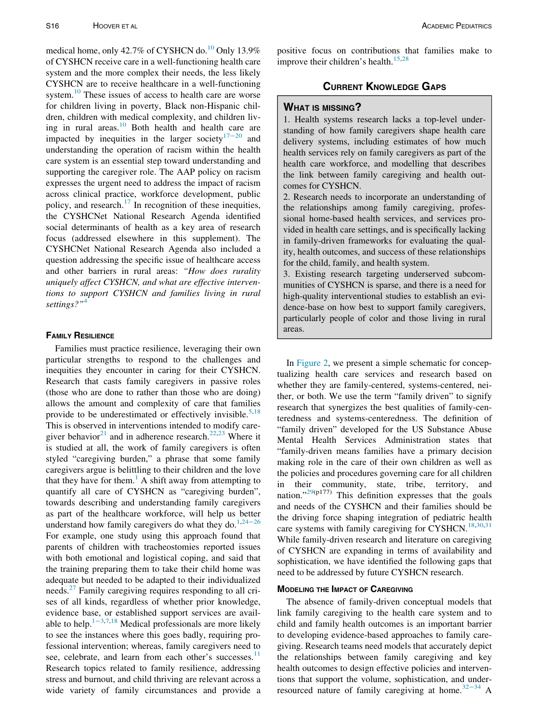medical home, only 42.7% of CYSHCN do.<sup>[10](#page-6-6)</sup> Only 13.9% of CYSHCN receive care in a well-functioning health care system and the more complex their needs, the less likely CYSHCN are to receive healthcare in a well-functioning system.<sup>10</sup> These issues of access to health care are worse for children living in poverty, Black non-Hispanic children, children with medical complexity, and children living in rural areas. $10$  Both health and health care are impacted by inequities in the larger society $17-20$  $17-20$  and understanding the operation of racism within the health care system is an essential step toward understanding and supporting the caregiver role. The AAP policy on racism expresses the urgent need to address the impact of racism across clinical practice, workforce development, public policy, and research. $^{17}$  $^{17}$  $^{17}$  In recognition of these inequities, the CYSHCNet National Research Agenda identified social determinants of health as a key area of research focus (addressed elsewhere in this supplement). The CYSHCNet National Research Agenda also included a question addressing the specific issue of healthcare access and other barriers in rural areas: "How does rurality uniquely affect CYSHCN, and what are effective interventions to support CYSHCN and families living in rural settings?"<sup>[4](#page-6-0)</sup>

Families must practice resilience, leveraging their own particular strengths to respond to the challenges and inequities they encounter in caring for their CYSHCN. Research that casts family caregivers in passive roles (those who are done to rather than those who are doing) allows the amount and complexity of care that families provide to be underestimated or effectively invisible.<sup>[5](#page-6-1),[18](#page-6-14)</sup> This is observed in interventions intended to modify care-giver behavior<sup>[21](#page-6-15)</sup> and in adherence research.<sup>[22,](#page-6-16)[23](#page-6-17)</sup> Where it is studied at all, the work of family caregivers is often styled "caregiving burden," a phrase that some family caregivers argue is belittling to their children and the love that they have for them.<sup>[1](#page-5-0)</sup> A shift away from attempting to quantify all care of CYSHCN as "caregiving burden", towards describing and understanding family caregivers as part of the healthcare workforce, will help us better understand how family caregivers do what they do.<sup>[1](#page-5-0),[24](#page-6-18)–26</sup> For example, one study using this approach found that parents of children with tracheostomies reported issues with both emotional and logistical coping, and said that the training preparing them to take their child home was adequate but needed to be adapted to their individualized needs.<sup>27</sup> Family caregiving requires responding to all crises of all kinds, regardless of whether prior knowledge, evidence base, or established support services are avail-able to help.<sup>1-3[,7](#page-6-3)[,18](#page-6-14)</sup> Medical professionals are more likely to see the instances where this goes badly, requiring professional intervention; whereas, family caregivers need to see, celebrate, and learn from each other's successes.<sup>[11](#page-6-7)</sup> Research topics related to family resilience, addressing stress and burnout, and child thriving are relevant across a wide variety of family circumstances and provide a positive focus on contributions that families make to improve their children's health.<sup>[15,](#page-6-11)[28](#page-6-20)</sup>

## <u>Current Knowledge Gaps (</u>

1. Health systems research lacks a top-level understanding of how family caregivers shape health care delivery systems, including estimates of how much health services rely on family caregivers as part of the health care workforce, and modelling that describes the link between family caregiving and health outcomes for CYSHCN.

2. Research needs to incorporate an understanding of the relationships among family caregiving, professional home-based health services, and services provided in health care settings, and is specifically lacking in family-driven frameworks for evaluating the quality, health outcomes, and success of these relationships for the child, family, and health system.

3. Existing research targeting underserved subcommunities of CYSHCN is sparse, and there is a need for high-quality interventional studies to establish an evidence-base on how best to support family caregivers, particularly people of color and those living in rural areas.

In [Figure 2](#page-3-0), we present a simple schematic for conceptualizing health care services and research based on whether they are family-centered, systems-centered, neither, or both. We use the term "family driven" to signify research that synergizes the best qualities of family-centeredness and systems-centeredness. The definition of "family driven" developed for the US Substance Abuse Mental Health Services Administration states that "family-driven means families have a primary decision making role in the care of their own children as well as the policies and procedures governing care for all children in their community, state, tribe, territory, and nation."[29\(](#page-6-21)p177) This definition expresses that the goals and needs of the CYSHCN and their families should be the driving force shaping integration of pediatric health care systems with family caregiving for CYSHCN.<sup>[18](#page-6-14)[,30,](#page-6-22)[31](#page-6-23)</sup> While family-driven research and literature on caregiving of CYSHCN are expanding in terms of availability and sophistication, we have identified the following gaps that need to be addressed by future CYSHCN research.

The absence of family-driven conceptual models that link family caregiving to the health care system and to child and family health outcomes is an important barrier to developing evidence-based approaches to family caregiving. Research teams need models that accurately depict the relationships between family caregiving and key health outcomes to design effective policies and interventions that support the volume, sophistication, and under-resourced nature of family caregiving at home.<sup>32−[34](#page-6-24)</sup> A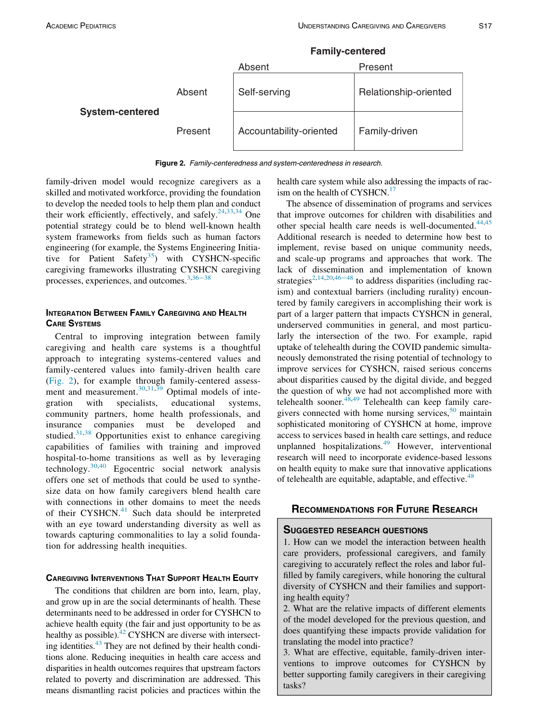<span id="page-3-0"></span>

**Family-centered** 

Figure 2. Family-centeredness and system-centeredness in research.

family-driven model would recognize caregivers as a skilled and motivated workforce, providing the foundation to develop the needed tools to help them plan and conduct their work efficiently, effectively, and safely.<sup>[24](#page-6-18)[,33,](#page-6-25)[34](#page-6-26)</sup> One potential strategy could be to blend well-known health system frameworks from fields such as human factors engineering (for example, the Systems Engineering Initia-tive for Patient Safety<sup>[35](#page-6-27)</sup>) with CYSHCN-specific caregiving frameworks illustrating CYSHCN caregiving processes, experiences, and outcomes.<sup>[3](#page-5-2)[,36](#page-6-28)–38</sup>

# INTEGRATION BETWEEN FAMILY CAREGIVING AND HEALTH<br>CARE SYSTEMS

Central to improving integration between family caregiving and health care systems is a thoughtful approach to integrating systems-centered values and family-centered values into family-driven health care [\(Fig. 2\)](#page-3-0), for example through family-centered assess-ment and measurement.<sup>[30](#page-6-22)[,31](#page-6-23),[39](#page-6-29)</sup> Optimal models of integration with specialists, educational systems, community partners, home health professionals, and insurance companies must be developed and studied.<sup>[31,](#page-6-23)[38](#page-6-30)</sup> Opportunities exist to enhance caregiving capabilities of families with training and improved hospital-to-home transitions as well as by leveraging technology.[30,](#page-6-22)[40](#page-6-31) Egocentric social network analysis offers one set of methods that could be used to synthesize data on how family caregivers blend health care with connections in other domains to meet the needs of their CYSHCN. $41$  Such data should be interpreted with an eye toward understanding diversity as well as towards capturing commonalities to lay a solid foundation for addressing health inequities.

### **CAREGIVING INTERVENTIONS THAT SUPPORT HEALTH EQUITY**

The conditions that children are born into, learn, play, and grow up in are the social determinants of health. These determinants need to be addressed in order for CYSHCN to achieve health equity (the fair and just opportunity to be as healthy as possible).<sup>42</sup> CYSHCN are diverse with intersecting identities.<sup>43</sup> They are not defined by their health conditions alone. Reducing inequities in health care access and disparities in health outcomes requires that upstream factors related to poverty and discrimination are addressed. This means dismantling racist policies and practices within the

health care system while also addressing the impacts of rac-ism on the health of CYSHCN.<sup>[17](#page-6-13)</sup>

The absence of dissemination of programs and services that improve outcomes for children with disabilities and other special health care needs is well-documented. $44,45$  $44,45$ Additional research is needed to determine how best to implement, revise based on unique community needs, and scale-up programs and approaches that work. The lack of dissemination and implementation of known strategies<sup>[2,](#page-5-1)[14](#page-6-10)[,20](#page-6-33)[,46](#page-7-4)−48</sup> to address disparities (including racism) and contextual barriers (including rurality) encountered by family caregivers in accomplishing their work is part of a larger pattern that impacts CYSHCN in general, underserved communities in general, and most particularly the intersection of the two. For example, rapid uptake of telehealth during the COVID pandemic simultaneously demonstrated the rising potential of technology to improve services for CYSHCN, raised serious concerns about disparities caused by the digital divide, and begged the question of why we had not accomplished more with telehealth sooner. $48,49$  $48,49$  Telehealth can keep family caregivers connected with home nursing services,  $50$  maintain sophisticated monitoring of CYSHCN at home, improve access to services based in health care settings, and reduce unplanned hospitalizations.<sup>[49](#page-7-6)</sup> However, interventional research will need to incorporate evidence-based lessons on health equity to make sure that innovative applications of telehealth are equitable, adaptable, and effective.<sup>[48](#page-7-5)</sup>

## RECOMMENDATIONS FOR FUTURE RESEARCH

1. How can we model the interaction between health care providers, professional caregivers, and family caregiving to accurately reflect the roles and labor fulfilled by family caregivers, while honoring the cultural diversity of CYSHCN and their families and supporting health equity?

2. What are the relative impacts of different elements of the model developed for the previous question, and does quantifying these impacts provide validation for translating the model into practice?

3. What are effective, equitable, family-driven interventions to improve outcomes for CYSHCN by better supporting family caregivers in their caregiving tasks?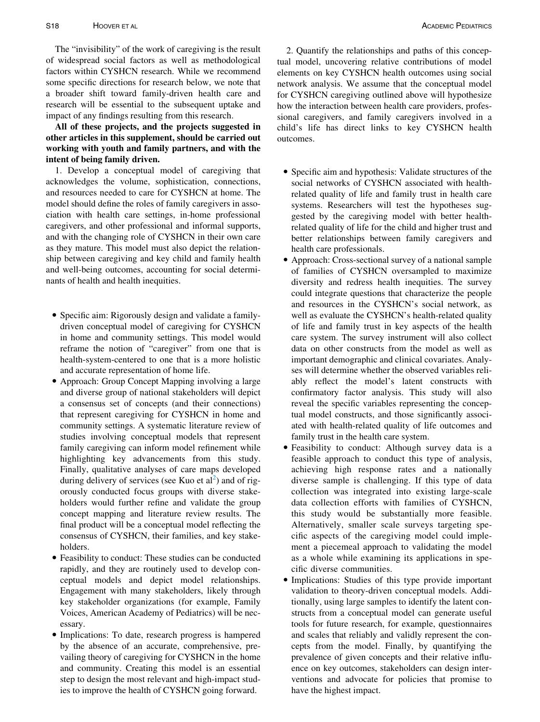The "invisibility" of the work of caregiving is the result of widespread social factors as well as methodological factors within CYSHCN research. While we recommend some specific directions for research below, we note that a broader shift toward family-driven health care and research will be essential to the subsequent uptake and impact of any findings resulting from this research.

All of these projects, and the projects suggested in other articles in this supplement, should be carried out working with youth and family partners, and with the intent of being family driven.

1. Develop a conceptual model of caregiving that acknowledges the volume, sophistication, connections, and resources needed to care for CYSHCN at home. The model should define the roles of family caregivers in association with health care settings, in-home professional caregivers, and other professional and informal supports, and with the changing role of CYSHCN in their own care as they mature. This model must also depict the relationship between caregiving and key child and family health and well-being outcomes, accounting for social determinants of health and health inequities.

- Specific aim: Rigorously design and validate a familydriven conceptual model of caregiving for CYSHCN in home and community settings. This model would reframe the notion of "caregiver" from one that is health-system-centered to one that is a more holistic and accurate representation of home life.
- Approach: Group Concept Mapping involving a large and diverse group of national stakeholders will depict a consensus set of concepts (and their connections) that represent caregiving for CYSHCN in home and community settings. A systematic literature review of studies involving conceptual models that represent family caregiving can inform model refinement while highlighting key advancements from this study. Finally, qualitative analyses of care maps developed during delivery of services (see Kuo et  $al^2$  $al^2$ ) and of rigorously conducted focus groups with diverse stakeholders would further refine and validate the group concept mapping and literature review results. The final product will be a conceptual model reflecting the consensus of CYSHCN, their families, and key stakeholders.
- Feasibility to conduct: These studies can be conducted rapidly, and they are routinely used to develop conceptual models and depict model relationships. Engagement with many stakeholders, likely through key stakeholder organizations (for example, Family Voices, American Academy of Pediatrics) will be necessary.
- Implications: To date, research progress is hampered by the absence of an accurate, comprehensive, prevailing theory of caregiving for CYSHCN in the home and community. Creating this model is an essential step to design the most relevant and high-impact studies to improve the health of CYSHCN going forward.

2. Quantify the relationships and paths of this conceptual model, uncovering relative contributions of model elements on key CYSHCN health outcomes using social network analysis. We assume that the conceptual model for CYSHCN caregiving outlined above will hypothesize how the interaction between health care providers, professional caregivers, and family caregivers involved in a child's life has direct links to key CYSHCN health outcomes.

- Specific aim and hypothesis: Validate structures of the social networks of CYSHCN associated with healthrelated quality of life and family trust in health care systems. Researchers will test the hypotheses suggested by the caregiving model with better healthrelated quality of life for the child and higher trust and better relationships between family caregivers and health care professionals.
- Approach: Cross-sectional survey of a national sample of families of CYSHCN oversampled to maximize diversity and redress health inequities. The survey could integrate questions that characterize the people and resources in the CYSHCN's social network, as well as evaluate the CYSHCN's health-related quality of life and family trust in key aspects of the health care system. The survey instrument will also collect data on other constructs from the model as well as important demographic and clinical covariates. Analyses will determine whether the observed variables reliably reflect the model's latent constructs with confirmatory factor analysis. This study will also reveal the specific variables representing the conceptual model constructs, and those significantly associated with health-related quality of life outcomes and family trust in the health care system.
- Feasibility to conduct: Although survey data is a feasible approach to conduct this type of analysis, achieving high response rates and a nationally diverse sample is challenging. If this type of data collection was integrated into existing large-scale data collection efforts with families of CYSHCN, this study would be substantially more feasible. Alternatively, smaller scale surveys targeting specific aspects of the caregiving model could implement a piecemeal approach to validating the model as a whole while examining its applications in specific diverse communities.
- Implications: Studies of this type provide important validation to theory-driven conceptual models. Additionally, using large samples to identify the latent constructs from a conceptual model can generate useful tools for future research, for example, questionnaires and scales that reliably and validly represent the concepts from the model. Finally, by quantifying the prevalence of given concepts and their relative influence on key outcomes, stakeholders can design interventions and advocate for policies that promise to have the highest impact.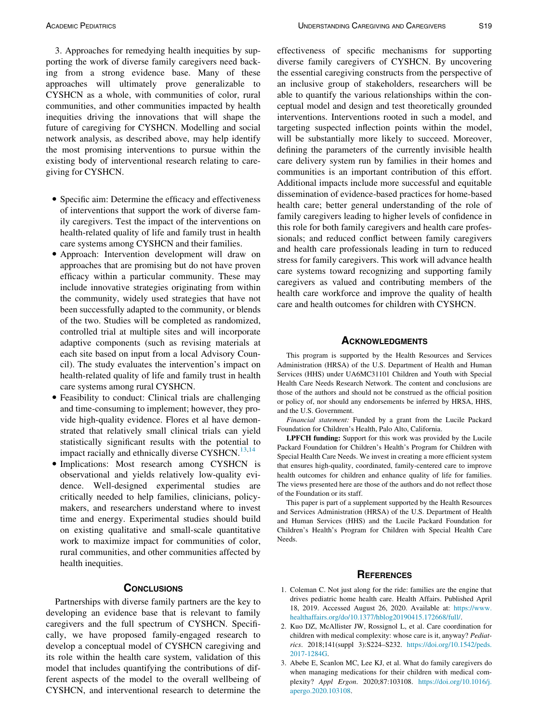3. Approaches for remedying health inequities by supporting the work of diverse family caregivers need backing from a strong evidence base. Many of these approaches will ultimately prove generalizable to CYSHCN as a whole, with communities of color, rural communities, and other communities impacted by health inequities driving the innovations that will shape the future of caregiving for CYSHCN. Modelling and social network analysis, as described above, may help identify the most promising interventions to pursue within the existing body of interventional research relating to caregiving for CYSHCN.

- Specific aim: Determine the efficacy and effectiveness of interventions that support the work of diverse family caregivers. Test the impact of the interventions on health-related quality of life and family trust in health care systems among CYSHCN and their families.
- Approach: Intervention development will draw on approaches that are promising but do not have proven efficacy within a particular community. These may include innovative strategies originating from within the community, widely used strategies that have not been successfully adapted to the community, or blends of the two. Studies will be completed as randomized, controlled trial at multiple sites and will incorporate adaptive components (such as revising materials at each site based on input from a local Advisory Council). The study evaluates the intervention's impact on health-related quality of life and family trust in health care systems among rural CYSHCN.
- Feasibility to conduct: Clinical trials are challenging and time-consuming to implement; however, they provide high-quality evidence. Flores et al have demonstrated that relatively small clinical trials can yield statistically significant results with the potential to impact racially and ethnically diverse CYSHCN.<sup>[13,](#page-6-9)[14](#page-6-10)</sup>
- Implications: Most research among CYSHCN is observational and yields relatively low-quality evidence. Well-designed experimental studies are critically needed to help families, clinicians, policymakers, and researchers understand where to invest time and energy. Experimental studies should build on existing qualitative and small-scale quantitative work to maximize impact for communities of color, rural communities, and other communities affected by health inequities.

<span id="page-5-2"></span><span id="page-5-1"></span><span id="page-5-0"></span>Partnerships with diverse family partners are the key to developing an evidence base that is relevant to family caregivers and the full spectrum of CYSHCN. Specifically, we have proposed family-engaged research to develop a conceptual model of CYSHCN caregiving and its role within the health care system, validation of this model that includes quantifying the contributions of different aspects of the model to the overall wellbeing of CYSHCN, and interventional research to determine the

effectiveness of specific mechanisms for supporting diverse family caregivers of CYSHCN. By uncovering the essential caregiving constructs from the perspective of an inclusive group of stakeholders, researchers will be able to quantify the various relationships within the conceptual model and design and test theoretically grounded interventions. Interventions rooted in such a model, and targeting suspected inflection points within the model, will be substantially more likely to succeed. Moreover, defining the parameters of the currently invisible health care delivery system run by families in their homes and communities is an important contribution of this effort. Additional impacts include more successful and equitable dissemination of evidence-based practices for home-based health care; better general understanding of the role of family caregivers leading to higher levels of confidence in this role for both family caregivers and health care professionals; and reduced conflict between family caregivers and health care professionals leading in turn to reduced stress for family caregivers. This work will advance health care systems toward recognizing and supporting family caregivers as valued and contributing members of the health care workforce and improve the quality of health care and health outcomes for children with CYSHCN.

This program is supported by the Health Resources and Services Administration (HRSA) of the U.S. Department of Health and Human Services (HHS) under UA6MC31101 Children and Youth with Special Health Care Needs Research Network. The content and conclusions are those of the authors and should not be construed as the official position or policy of, nor should any endorsements be inferred by HRSA, HHS, and the U.S. Government.

Financial statement: Funded by a grant from the Lucile Packard Foundation for Children's Health, Palo Alto, California.

LPFCH funding: Support for this work was provided by the Lucile Packard Foundation for Children's Health's Program for Children with Special Health Care Needs. We invest in creating a more efficient system that ensures high-quality, coordinated, family-centered care to improve health outcomes for children and enhance quality of life for families. The views presented here are those of the authors and do not reflect those of the Foundation or its staff.

This paper is part of a supplement supported by the Health Resources and Services Administration (HRSA) of the U.S. Department of Health and Human Services (HHS) and the Lucile Packard Foundation for Children's Health's Program for Children with Special Health Care Needs.

### **REFERENCES**

- 1. Coleman C. Not just along for the ride: families are the engine that drives pediatric home health care. Health Affairs. Published April 18, 2019. Accessed August 26, 2020. Available at: [https://www.](https://www.healthaffairs.org/do/10.1377/hblog20190415.172668/full/) [healthaffairs.org/do/10.1377/hblog20190415.172668/full/](https://www.healthaffairs.org/do/10.1377/hblog20190415.172668/full/).
- 2. Kuo DZ, McAllister JW, Rossignol L, et al. Care coordination for children with medical complexity: whose care is it, anyway? Pediatrics. 2018;141(suppl 3):S224–S232. [https://doi.org/10.1542/peds.](https://doi.org/10.1542/peds.<?A3B2 re 3j?>2017-1284G) [2017-1284G.](https://doi.org/10.1542/peds.<?A3B2 re 3j?>2017-1284G)
- 3. Abebe E, Scanlon MC, Lee KJ, et al. What do family caregivers do when managing medications for their children with medical complexity? Appl Ergon. 2020;87:103108. [https://doi.org/10.1016/j.](https://doi.org/10.1016/j.apergo.2020.103108) [apergo.2020.103108.](https://doi.org/10.1016/j.apergo.2020.103108)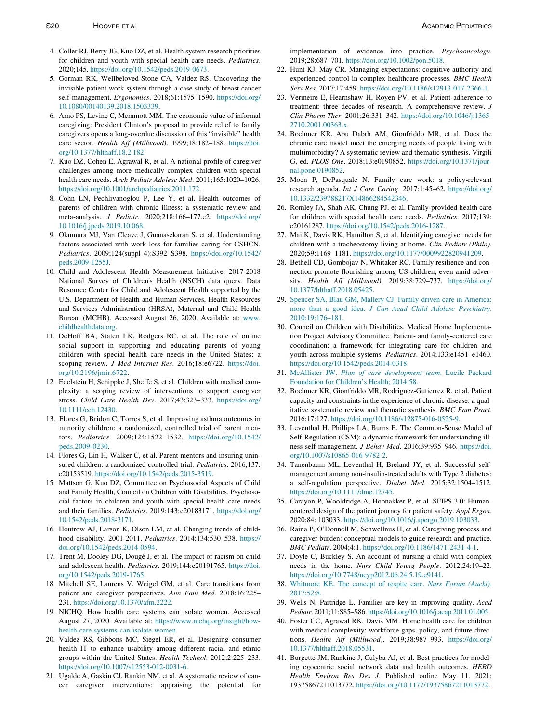- <span id="page-6-0"></span>4. Coller RJ, Berry JG, Kuo DZ, et al. Health system research priorities for children and youth with special health care needs. Pediatrics. 2020;145. <https://doi.org/10.1542/peds.2019-0673>.
- <span id="page-6-17"></span><span id="page-6-16"></span><span id="page-6-1"></span>5. Gorman RK, Wellbeloved-Stone CA, Valdez RS. Uncovering the invisible patient work system through a case study of breast cancer self-management. Ergonomics. 2018;61:1575–1590. [https://doi.org/](https://doi.org/10.1080/00140139.2018.1503339) [10.1080/00140139.2018.1503339.](https://doi.org/10.1080/00140139.2018.1503339)
- <span id="page-6-18"></span><span id="page-6-2"></span>6. Arno PS, Levine C, Memmott MM. The economic value of informal caregiving: President Clinton's proposal to provide relief to family caregivers opens a long-overdue discussion of this "invisible" health care sector. Health Aff (Millwood). 1999;18:182–188. [https://doi.](https://doi.org/10.1377/hlthaff.18.2.182) [org/10.1377/hlthaff.18.2.182](https://doi.org/10.1377/hlthaff.18.2.182).
- <span id="page-6-3"></span>7. Kuo DZ, Cohen E, Agrawal R, et al. A national profile of caregiver challenges among more medically complex children with special health care needs. Arch Pediatr Adolesc Med. 2011;165:1020–1026. [https://doi.org/10.1001/archpediatrics.2011.172.](https://doi.org/10.1001/archpediatrics.2011.172)
- <span id="page-6-4"></span>8. Cohn LN, Pechlivanoglou P, Lee Y, et al. Health outcomes of parents of children with chronic illness: a systematic review and meta-analysis. J Pediatr. 2020;218:166–177.e2. [https://doi.org/](https://doi.org/10.1016/j.jpeds.2019.10.068) [10.1016/j.jpeds.2019.10.068.](https://doi.org/10.1016/j.jpeds.2019.10.068)
- <span id="page-6-19"></span><span id="page-6-5"></span>9. Okumura MJ, Van Cleave J, Gnanasekaran S, et al. Understanding factors associated with work loss for families caring for CSHCN. Pediatrics. 2009;124(suppl 4):S392–S398. [https://doi.org/10.1542/](https://doi.org/10.1542/peds.2009-1255J) [peds.2009-1255J.](https://doi.org/10.1542/peds.2009-1255J)
- <span id="page-6-21"></span><span id="page-6-20"></span><span id="page-6-6"></span>10. Child and Adolescent Health Measurement Initiative. 2017-2018 National Survey of Children's Health (NSCH) data query. Data Resource Center for Child and Adolescent Health supported by the U.S. Department of Health and Human Services, Health Resources and Services Administration (HRSA), Maternal and Child Health Bureau (MCHB). Accessed August 26, 2020. Available at: [www.](http://www.childhealthdata.org) [childhealthdata.org](http://www.childhealthdata.org).
- <span id="page-6-22"></span><span id="page-6-7"></span>11. DeHoff BA, Staten LK, Rodgers RC, et al. The role of online social support in supporting and educating parents of young children with special health care needs in the United States: a scoping review. J Med Internet Res. 2016;18:e6722. [https://doi.](https://doi.org/10.2196/jmir.6722) [org/10.2196/jmir.6722.](https://doi.org/10.2196/jmir.6722)
- <span id="page-6-24"></span><span id="page-6-23"></span><span id="page-6-8"></span>12. Edelstein H, Schippke J, Sheffe S, et al. Children with medical complexity: a scoping review of interventions to support caregiver stress. Child Care Health Dev. 2017;43:323–333. [https://doi.org/](https://doi.org/10.1111/cch.12430) [10.1111/cch.12430.](https://doi.org/10.1111/cch.12430)
- <span id="page-6-25"></span><span id="page-6-9"></span>13. Flores G, Bridon C, Torres S, et al. Improving asthma outcomes in minority children: a randomized, controlled trial of parent mentors. Pediatrics. 2009;124:1522–1532. [https://doi.org/10.1542/](https://doi.org/10.1542/peds.2009-0230) [peds.2009-0230.](https://doi.org/10.1542/peds.2009-0230)
- <span id="page-6-26"></span><span id="page-6-10"></span>14. Flores G, Lin H, Walker C, et al. Parent mentors and insuring uninsured children: a randomized controlled trial. Pediatrics. 2016;137: e20153519. [https://doi.org/10.1542/peds.2015-3519.](https://doi.org/10.1542/peds.2015-3519)
- <span id="page-6-27"></span><span id="page-6-11"></span>15. Mattson G, Kuo DZ, Committee on Psychosocial Aspects of Child and Family Health, Council on Children with Disabilities. Psychosocial factors in children and youth with special health care needs and their families. Pediatrics. 2019;143:e20183171. [https://doi.org/](https://doi.org/10.1542/peds.2018-3171) [10.1542/peds.2018-3171](https://doi.org/10.1542/peds.2018-3171).
- <span id="page-6-28"></span><span id="page-6-12"></span>16. Houtrow AJ, Larson K, Olson LM, et al. Changing trends of childhood disability, 2001-2011. Pediatrics. 2014;134:530–538. [https://](https://doi.org/10.1542/peds.2014-0594) [doi.org/10.1542/peds.2014-0594](https://doi.org/10.1542/peds.2014-0594).
- <span id="page-6-13"></span>17. Trent M, Dooley DG, Dougé J, et al. The impact of racism on child and adolescent health. Pediatrics. 2019;144:e20191765. [https://doi.](https://doi.org/10.1542/peds.2019-1765) [org/10.1542/peds.2019-1765.](https://doi.org/10.1542/peds.2019-1765)
- <span id="page-6-30"></span><span id="page-6-14"></span>18. Mitchell SE, Laurens V, Weigel GM, et al. Care transitions from patient and caregiver perspectives. Ann Fam Med. 2018;16:225– 231. <https://doi.org/10.1370/afm.2222>.
- <span id="page-6-31"></span><span id="page-6-29"></span>19. NICHQ. How health care systems can isolate women. Accessed August 27, 2020. Available at: [https://www.nichq.org/insight/how](https://www.nichq.org/insight/how-health-care-systems-can-isolate-women)[health-care-systems-can-isolate-women.](https://www.nichq.org/insight/how-health-care-systems-can-isolate-women)
- <span id="page-6-33"></span><span id="page-6-32"></span>20. Valdez RS, Gibbons MC, Siegel ER, et al. Designing consumer health IT to enhance usability among different racial and ethnic groups within the United States. Health Technol. 2012;2:225–233. <https://doi.org/10.1007/s12553-012-0031-6>.
- <span id="page-6-15"></span>21. Ugalde A, Gaskin CJ, Rankin NM, et al. A systematic review of cancer caregiver interventions: appraising the potential for

implementation of evidence into practice. Psychooncology. 2019;28:687–701. [https://doi.org/10.1002/pon.5018.](https://doi.org/10.1002/pon.5018)

- 22. Hunt KJ, May CR. Managing expectations: cognitive authority and experienced control in complex healthcare processes. BMC Health Serv Res. 2017;17:459. <https://doi.org/10.1186/s12913-017-2366-1>.
- 23. Vermeire E, Hearnshaw H, Royen PV, et al. Patient adherence to treatment: three decades of research. A comprehensive review. J Clin Pharm Ther. 2001;26:331–342. [https://doi.org/10.1046/j.1365-](https://doi.org/10.1046/j.1365-2710.2001.00363.x) [2710.2001.00363.x](https://doi.org/10.1046/j.1365-2710.2001.00363.x).
- 24. Boehmer KR, Abu Dabrh AM, Gionfriddo MR, et al. Does the chronic care model meet the emerging needs of people living with multimorbidity? A systematic review and thematic synthesis. Virgili G, ed. PLOS One. 2018;13:e0190852. [https://doi.org/10.1371/jour](https://doi.org/10.1371/journal.pone.0190852)[nal.pone.0190852.](https://doi.org/10.1371/journal.pone.0190852)
- 25. Moen P, DePasquale N. Family care work: a policy-relevant research agenda. Int J Care Caring. 2017;1:45–62. [https://doi.org/](https://doi.org/10.1332/239788217X14866284542346) [10.1332/239788217X14866284542346.](https://doi.org/10.1332/239788217X14866284542346)
- 26. Romley JA, Shah AK, Chung PJ, et al. Family-provided health care for children with special health care needs. Pediatrics. 2017;139: e20161287. <https://doi.org/10.1542/peds.2016-1287>.
- 27. Mai K, Davis RK, Hamilton S, et al. Identifying caregiver needs for children with a tracheostomy living at home. Clin Pediatr (Phila). 2020;59:1169–1181. [https://doi.org/10.1177/0009922820941209.](https://doi.org/10.1177/0009922820941209)
- 28. Bethell CD, Gombojav N, Whitaker RC. Family resilience and connection promote flourishing among US children, even amid adversity. Health Aff (Millwood). 2019;38:729–737. [https://doi.org/](https://doi.org/10.1377/hlthaff.2018.05425) [10.1377/hlthaff.2018.05425.](https://doi.org/10.1377/hlthaff.2018.05425)
- 29. [Spencer SA, Blau GM, Mallery CJ. Family-driven care in America:](http://refhub.elsevier.com/S1876-2859(21)00529-5/sbref0029) more than a good idea. [J Can Acad Child Adolesc Psychiatry](http://refhub.elsevier.com/S1876-2859(21)00529-5/sbref0029). [2010;19:176–181.](http://refhub.elsevier.com/S1876-2859(21)00529-5/sbref0029)
- 30. Council on Children with Disabilities. Medical Home Implementation Project Advisory Committee. Patient- and family-centered care coordination: a framework for integrating care for children and youth across multiple systems. Pediatrics. 2014;133:e1451–e1460. [https://doi.org/10.1542/peds.2014-0318.](https://doi.org/10.1542/peds.2014-0318)
- 31. McAllister JW. [Plan of care development team](http://refhub.elsevier.com/S1876-2859(21)00529-5/sbref0031). Lucile Packard [Foundation for Children's Health; 2014:58.](http://refhub.elsevier.com/S1876-2859(21)00529-5/sbref0031)
- 32. Boehmer KR, Gionfriddo MR, Rodriguez-Gutierrez R, et al. Patient capacity and constraints in the experience of chronic disease: a qualitative systematic review and thematic synthesis. BMC Fam Pract. 2016;17:127. [https://doi.org/10.1186/s12875-016-0525-9.](https://doi.org/10.1186/s12875-016-0525-9)
- 33. Leventhal H, Phillips LA, Burns E. The Common-Sense Model of Self-Regulation (CSM): a dynamic framework for understanding illness self-management. J Behav Med. 2016;39:935–946. [https://doi.](https://doi.org/10.1007/s10865-016-9782-2) [org/10.1007/s10865-016-9782-2](https://doi.org/10.1007/s10865-016-9782-2).
- 34. Tanenbaum ML, Leventhal H, Breland JY, et al. Successful selfmanagement among non-insulin-treated adults with Type 2 diabetes: a self-regulation perspective. Diabet Med. 2015;32:1504–1512. <https://doi.org/10.1111/dme.12745>.
- 35. Carayon P, Wooldridge A, Hoonakker P, et al. SEIPS 3.0: Humancentered design of the patient journey for patient safety. Appl Ergon. 2020;84: 103033. [https://doi.org/10.1016/j.apergo.2019.103033.](https://doi.org/10.1016/j.apergo.2019.103033)
- 36. Raina P, O'Donnell M, Schwellnus H, et al. Caregiving process and caregiver burden: conceptual models to guide research and practice. BMC Pediatr. 2004;4:1. [https://doi.org/10.1186/1471-2431-4-1.](https://doi.org/10.1186/1471-2431-4-1)
- 37. Doyle C, Buckley S. An account of nursing a child with complex needs in the home. Nurs Child Young People. 2012;24:19–22. [https://doi.org/10.7748/ncyp2012.06.24.5.19.c9141.](https://doi.org/10.7748/ncyp2012.06.24.5.19.c9141)
- 38. [Whitmore KE. The concept of respite care.](http://refhub.elsevier.com/S1876-2859(21)00529-5/sbref0038) Nurs Forum (Auckl). [2017;52:8.](http://refhub.elsevier.com/S1876-2859(21)00529-5/sbref0038)
- 39. Wells N, Partridge L. Families are key in improving quality. Acad Pediatr. 2011;11:S85–S86. <https://doi.org/10.1016/j.acap.2011.01.005>.
- 40. Foster CC, Agrawal RK, Davis MM. Home health care for children with medical complexity: workforce gaps, policy, and future directions. Health Aff (Millwood). 2019;38:987–993. [https://doi.org/](https://doi.org/10.1377/hlthaff.2018.05531) [10.1377/hlthaff.2018.05531.](https://doi.org/10.1377/hlthaff.2018.05531)
- 41. Burgette JM, Rankine J, Culyba AJ, et al. Best practices for modeling egocentric social network data and health outcomes. HERD Health Environ Res Des J. Published online May 11. 2021: 19375867211013772. <https://doi.org/10.1177/19375867211013772>.